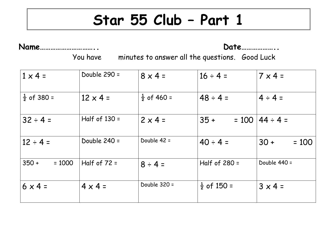## **Star 55 Club – Part 1**

**Name………………………….. Date………………..**

You have minutes to answer all the questions. Good Luck

| $1 \times 4 =$         | Double 290 =    | $8 \times 4 =$         | $16 \div 4 =$          | $7 \times 4 =$    |
|------------------------|-----------------|------------------------|------------------------|-------------------|
| $\frac{1}{2}$ of 380 = | $12 \times 4 =$ | $\frac{1}{2}$ of 460 = | $48 \div 4 =$          | $4 \div 4 =$      |
| $32 \div 4 =$          | Half of $130 =$ | $2 \times 4 =$         | $35 +$<br>$= 100$      | $44 \div 4 =$     |
| $12 \div 4 =$          | Double 240 =    | Double 42 =            | $40 \div 4 =$          | $30 +$<br>$= 100$ |
| $350 +$<br>$= 1000$    | Half of $72 =$  | $8 \div 4 =$           | Half of $280 =$        | Double 440 =      |
| $6 \times 4 =$         | $4 \times 4 =$  | Double 320 =           | $\frac{1}{2}$ of 150 = | $3 \times 4 =$    |